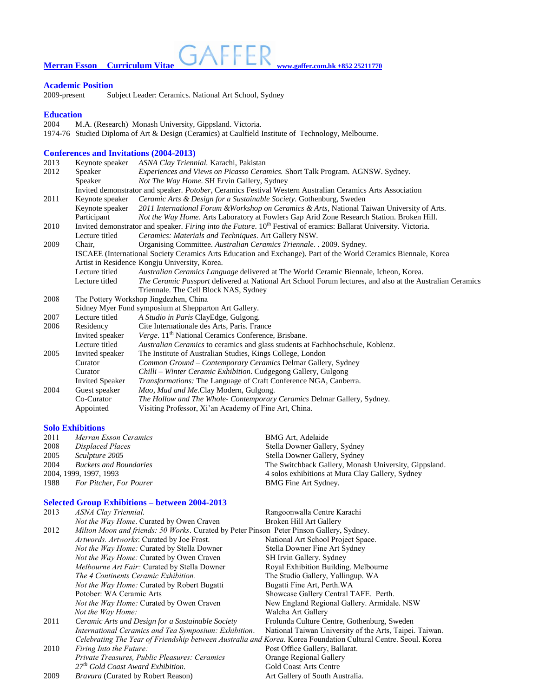**Merran Esson** Curriculum Vitae **WALLER** WWW.gaffer.com.hk +852 25211770

**Academic Position** Subject Leader: Ceramics. National Art School, Sydney

### **Education**

2004 M.A. (Research) Monash University, Gippsland. Victoria. 1974-76 Studied Diploma of Art & Design (Ceramics) at Caulfield Institute of Technology, Melbourne.

### **Conferences and Invitations (2004-2013)**

| 2013 | Keynote speaker                                                                                                                | ASNA Clay Triennial. Karachi, Pakistan                                                                    |  |  |
|------|--------------------------------------------------------------------------------------------------------------------------------|-----------------------------------------------------------------------------------------------------------|--|--|
| 2012 | Speaker                                                                                                                        | <i>Experiences and Views on Picasso Ceramics. Short Talk Program. AGNSW. Sydney.</i>                      |  |  |
|      | Speaker                                                                                                                        | Not The Way Home. SH Ervin Gallery, Sydney                                                                |  |  |
|      | Invited demonstrator and speaker. Potober, Ceramics Festival Western Australian Ceramics Arts Association                      |                                                                                                           |  |  |
| 2011 | Keynote speaker                                                                                                                | Ceramic Arts & Design for a Sustainable Society. Gothenburg, Sweden                                       |  |  |
|      | Keynote speaker                                                                                                                | 2011 International Forum & Workshop on Ceramics & Arts, National Taiwan University of Arts.               |  |  |
|      | Participant                                                                                                                    | Not the Way Home. Arts Laboratory at Fowlers Gap Arid Zone Research Station. Broken Hill.                 |  |  |
| 2010 | Invited demonstrator and speaker. Firing into the Future. 10 <sup>th</sup> Festival of eramics: Ballarat University. Victoria. |                                                                                                           |  |  |
|      | Lecture titled                                                                                                                 | Ceramics: Materials and Techniques. Art Gallery NSW.                                                      |  |  |
| 2009 | Chair.                                                                                                                         | Organising Committee. Australian Ceramics Triennale. . 2009. Sydney.                                      |  |  |
|      | ISCAEE (International Society Ceramics Arts Education and Exchange). Part of the World Ceramics Biennale, Korea                |                                                                                                           |  |  |
|      | Artist in Residence Kongju University, Korea.                                                                                  |                                                                                                           |  |  |
|      | Lecture titled                                                                                                                 | Australian Ceramics Language delivered at The World Ceramic Biennale, Icheon, Korea.                      |  |  |
|      | Lecture titled                                                                                                                 | The Ceramic Passport delivered at National Art School Forum lectures, and also at the Australian Ceramics |  |  |
|      |                                                                                                                                | Triennale. The Cell Block NAS, Sydney                                                                     |  |  |
| 2008 | The Pottery Workshop Jingdezhen, China                                                                                         |                                                                                                           |  |  |
|      |                                                                                                                                | Sidney Myer Fund symposium at Shepparton Art Gallery.                                                     |  |  |
| 2007 | Lecture titled                                                                                                                 | A Studio in Paris ClayEdge, Gulgong.                                                                      |  |  |
| 2006 | Residency                                                                                                                      | Cite Internationale des Arts, Paris. France                                                               |  |  |
|      | Invited speaker                                                                                                                | Verge. 11 <sup>th</sup> National Ceramics Conference, Brisbane.                                           |  |  |
|      | Lecture titled                                                                                                                 | Australian Ceramics to ceramics and glass students at Fachhochschule, Koblenz.                            |  |  |
| 2005 | Invited speaker                                                                                                                | The Institute of Australian Studies, Kings College, London                                                |  |  |
|      | Curator                                                                                                                        | Common Ground - Contemporary Ceramics Delmar Gallery, Sydney                                              |  |  |
|      | Curator                                                                                                                        | Chilli - Winter Ceramic Exhibition. Cudgegong Gallery, Gulgong                                            |  |  |
|      | <b>Invited Speaker</b>                                                                                                         | Transformations: The Language of Craft Conference NGA, Canberra.                                          |  |  |
| 2004 | Guest speaker                                                                                                                  | Mao, Mud and Me.Clay Modern, Gulgong.                                                                     |  |  |
|      | Co-Curator                                                                                                                     | The Hollow and The Whole- Contemporary Ceramics Delmar Gallery, Sydney.                                   |  |  |
|      | Appointed                                                                                                                      | Visiting Professor, Xi'an Academy of Fine Art, China.                                                     |  |  |

## **Solo Exhibitions**

| 2011                   | Merran Esson Ceramics         | <b>BMG Art, Adelaide</b>                              |
|------------------------|-------------------------------|-------------------------------------------------------|
| 2008                   | Displaced Places              | Stella Downer Gallery, Sydney                         |
| 2005                   | Sculpture 2005                | Stella Downer Gallery, Sydney                         |
| 2004                   | <b>Buckets and Boundaries</b> | The Switchback Gallery, Monash University, Gippsland. |
| 2004, 1999, 1997, 1993 |                               | 4 solos exhibitions at Mura Clay Gallery, Sydney      |
| 1988                   | For Pitcher, For Pourer       | BMG Fine Art Sydney.                                  |

# **Selected Group Exhibitions – between 2004-2013**

| 2013 | ASNA Clay Triennial.                                                                                           | Rangoonwalla Centre Karachi                             |  |  |
|------|----------------------------------------------------------------------------------------------------------------|---------------------------------------------------------|--|--|
|      | <i>Not the Way Home.</i> Curated by Owen Craven                                                                | Broken Hill Art Gallery                                 |  |  |
| 2012 | <i>Milton Moon and friends: 50 Works.</i> Curated by Peter Pinson Peter Pinson Gallery, Sydney.                |                                                         |  |  |
|      | Artwords. Artworks: Curated by Joe Frost.                                                                      | National Art School Project Space.                      |  |  |
|      | Not the Way Home: Curated by Stella Downer                                                                     | Stella Downer Fine Art Sydney                           |  |  |
|      | <i>Not the Way Home:</i> Curated by Owen Craven                                                                | SH Irvin Gallery. Sydney                                |  |  |
|      | <i>Melbourne Art Fair:</i> Curated by Stella Downer                                                            | Royal Exhibition Building. Melbourne                    |  |  |
|      | The 4 Continents Ceramic Exhibition.                                                                           | The Studio Gallery, Yallingup. WA                       |  |  |
|      | <i>Not the Way Home:</i> Curated by Robert Bugatti                                                             | Bugatti Fine Art, Perth. WA                             |  |  |
|      | Potober: WA Ceramic Arts                                                                                       | Showcase Gallery Central TAFE. Perth.                   |  |  |
|      | <i>Not the Way Home:</i> Curated by Owen Craven                                                                | New England Regional Gallery. Armidale. NSW             |  |  |
|      | Not the Way Home:                                                                                              | Walcha Art Gallery                                      |  |  |
| 2011 | Ceramic Arts and Design for a Sustainable Society                                                              | Frolunda Culture Centre, Gothenburg, Sweden             |  |  |
|      | International Ceramics and Tea Symposium: Exhibition.                                                          | National Taiwan University of the Arts, Taipei. Taiwan. |  |  |
|      | Celebrating The Year of Friendship between Australia and Korea. Korea Foundation Cultural Centre. Seoul. Korea |                                                         |  |  |
| 2010 | Firing Into the Future:                                                                                        | Post Office Gallery, Ballarat.                          |  |  |
|      | Private Treasures, Public Pleasures: Ceramics                                                                  | Orange Regional Gallery                                 |  |  |
|      | $27th$ Gold Coast Award Exhibition.                                                                            | <b>Gold Coast Arts Centre</b>                           |  |  |
| 2009 | <i>Bravura</i> (Curated by Robert Reason)                                                                      | Art Gallery of South Australia.                         |  |  |
|      |                                                                                                                |                                                         |  |  |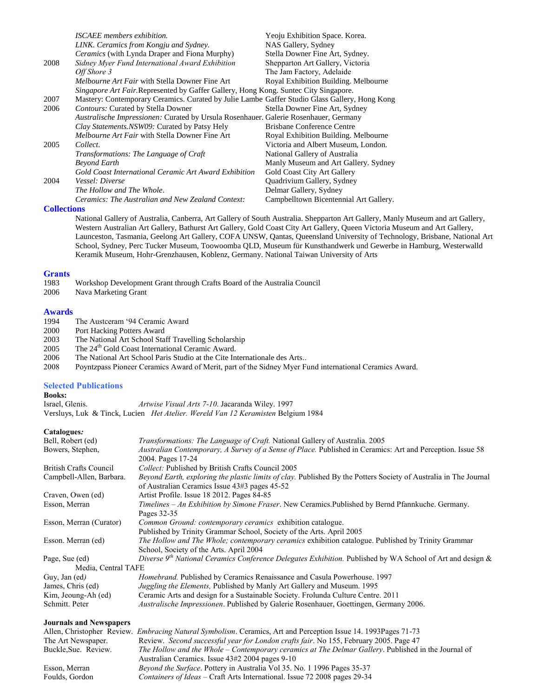|      | ISCAEE members exhibition.                                                                    | Yeoju Exhibition Space. Korea.         |  |  |
|------|-----------------------------------------------------------------------------------------------|----------------------------------------|--|--|
|      | LINK. Ceramics from Kongju and Sydney.                                                        | NAS Gallery, Sydney                    |  |  |
|      | <i>Ceramics</i> (with Lynda Draper and Fiona Murphy)                                          | Stella Downer Fine Art, Sydney.        |  |  |
| 2008 | Sidney Myer Fund International Award Exhibition                                               | Shepparton Art Gallery, Victoria       |  |  |
|      | Off Shore 3                                                                                   | The Jam Factory, Adelaide              |  |  |
|      | <i>Melbourne Art Fair</i> with Stella Downer Fine Art                                         | Royal Exhibition Building. Melbourne   |  |  |
|      | <i>Singapore Art Fair.Represented by Gaffer Gallery, Hong Kong. Suntec City Singapore.</i>    |                                        |  |  |
| 2007 | Mastery: Contemporary Ceramics. Curated by Julie Lambe Gaffer Studio Glass Gallery, Hong Kong |                                        |  |  |
| 2006 | Contours: Curated by Stella Downer                                                            | Stella Downer Fine Art, Sydney         |  |  |
|      | Australische Impressionen: Curated by Ursula Rosenhauer. Galerie Rosenhauer, Germany          |                                        |  |  |
|      | Clay Statements. NSW09: Curated by Patsy Hely                                                 | Brisbane Conference Centre             |  |  |
|      | Melbourne Art Fair with Stella Downer Fine Art                                                | Royal Exhibition Building. Melbourne   |  |  |
| 2005 | Collect.                                                                                      | Victoria and Albert Museum, London.    |  |  |
|      | Transformations: The Language of Craft                                                        | National Gallery of Australia          |  |  |
|      | Beyond Earth                                                                                  | Manly Museum and Art Gallery. Sydney   |  |  |
|      | Gold Coast International Ceramic Art Award Exhibition                                         | <b>Gold Coast City Art Gallery</b>     |  |  |
| 2004 | Vessel: Diverse                                                                               | Quadrivium Gallery, Sydney             |  |  |
|      | The Hollow and The Whole.                                                                     | Delmar Gallery, Sydney                 |  |  |
|      | Ceramics: The Australian and New Zealand Context:                                             | Campbelltown Bicentennial Art Gallery. |  |  |

### **Collections**

National Gallery of Australia, Canberra, Art Gallery of South Australia. Shepparton Art Gallery, Manly Museum and art Gallery, Western Australian Art Gallery, Bathurst Art Gallery, Gold Coast City Art Gallery, Queen Victoria Museum and Art Gallery, Launceston, Tasmania, Geelong Art Gallery, COFA UNSW, Qantas, Queensland University of Technology, Brisbane, National Art School, Sydney, Perc Tucker Museum, Toowoomba QLD, Museum für Kunsthandwerk und Gewerbe in Hamburg, Westerwalld Keramik Museum, Hohr-Grenzhausen, Koblenz, Germany. National Taiwan University of Arts

#### **Grants**

- 1983 Workshop Development Grant through Crafts Board of the Australia Council 2006 Nava Marketing Grant
- 

#### **Awards**

- 1994 The Austceram '94 Ceramic Award
- 2000 Port Hacking Potters Award
- 2003 The National Art School Staff Travelling Scholarship<br>2005 The  $24<sup>th</sup>$  Gold Coast International Ceramic Award.
- 2005 The  $24<sup>th</sup>$  Gold Coast International Ceramic Award.<br>2006 The National Art School Paris Studio at the Cite In
- 2006 The National Art School Paris Studio at the Cite Internationale des Arts..<br>2008 Poyntzpass Pioneer Ceramics Award of Merit, part of the Sidney Myer F
- 2008 Poyntzpass Pioneer Ceramics Award of Merit, part of the Sidney Myer Fund international Ceramics Award.

### **Selected Publications**

**Books:**<br>Israel. Glenis. Israel, Glenis. *Artwise Visual Arts 7-10*. Jacaranda Wiley. 1997 Versluys, Luk & Tinck, Lucien *Het Atelier. Wereld Van 12 Keramisten* Belgium 1984

#### **Catalogues***:*

| Catalogues.                    |                                                                                                                                                                   |
|--------------------------------|-------------------------------------------------------------------------------------------------------------------------------------------------------------------|
| Bell, Robert (ed)              | Transformations: The Language of Craft. National Gallery of Australia. 2005                                                                                       |
| Bowers, Stephen,               | Australian Contemporary, A Survey of a Sense of Place. Published in Ceramics: Art and Perception. Issue 58                                                        |
|                                | 2004. Pages 17-24                                                                                                                                                 |
| <b>British Crafts Council</b>  | Collect: Published by British Crafts Council 2005                                                                                                                 |
| Campbell-Allen, Barbara.       | Beyond Earth, exploring the plastic limits of clay. Published By the Potters Society of Australia in The Journal<br>of Australian Ceramics Issue 43#3 pages 45-52 |
| Craven, Owen (ed)              | Artist Profile. Issue 18 2012. Pages 84-85                                                                                                                        |
| Esson, Merran                  | Timelines - An Exhibition by Simone Fraser. New Ceramics.Published by Bernd Pfannkuche. Germany.                                                                  |
|                                | Pages 32-35                                                                                                                                                       |
| Esson, Merran (Curator)        | Common Ground: contemporary ceramics exhibition catalogue.                                                                                                        |
|                                | Published by Trinity Grammar School, Society of the Arts. April 2005                                                                                              |
| Esson. Merran (ed)             | The Hollow and The Whole; contemporary ceramics exhibition catalogue. Published by Trinity Grammar                                                                |
|                                | School, Society of the Arts. April 2004                                                                                                                           |
| Page, Sue (ed)                 | Diverse 9 <sup>th</sup> National Ceramics Conference Delegates Exhibition. Published by WA School of Art and design &                                             |
| Media, Central TAFE            |                                                                                                                                                                   |
| Guy, Jan (ed)                  | Homebrand. Published by Ceramics Renaissance and Casula Powerhouse. 1997                                                                                          |
| James, Chris (ed)              | Juggling the Elements, Published by Manly Art Gallery and Museum. 1995                                                                                            |
| Kim, Jeoung-Ah (ed)            | Ceramic Arts and design for a Sustainable Society. Frolunda Culture Centre. 2011                                                                                  |
| Schmitt. Peter                 | Australische Impressionen. Published by Galerie Rosenhauer, Goettingen, Germany 2006.                                                                             |
| <b>Journals and Newspapers</b> |                                                                                                                                                                   |
|                                | Allen, Christopher Review. Embracing Natural Symbolism. Ceramics, Art and Perception Issue 14. 1993Pages 71-73                                                    |
| The Art Newspaper.             | Review. Second successful year for London crafts fair. No 155, February 2005. Page 47                                                                             |
| Buckle, Sue. Review.           | The Hollow and the Whole – Contemporary ceramics at The Delmar Gallery. Published in the Journal of<br>Australian Ceramics. Issue 43#2 2004 pages 9-10            |
| Esson, Merran                  | <i>Bevond the Surface.</i> Pottery in Australia Vol 35, No. 1 1996 Pages 35-37                                                                                    |

Foulds, Gordon *Containers of Ideas* – Craft Arts International. Issue 72 2008 pages 29-34